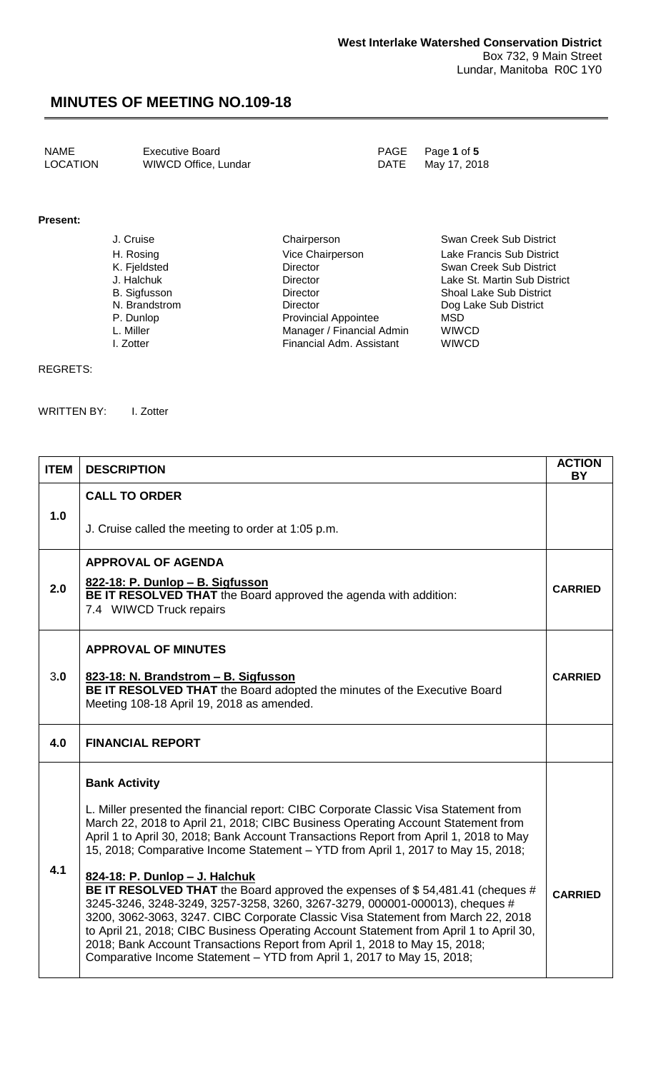NAME **Executive Board Executive Board PAGE** Page 1 of 5 LOCATION WIWCD Office, Lundar DATE May 17, 2018

**Present:**

J. Cruise Chairperson Chairperson Swan Creek Sub District H. Rosing **Vice Chairperson** Lake Francis Sub District K. Fjeldsted Director Swan Creek Sub District Lake St. Martin Sub District B. Sigfusson Director Shoal Lake Sub District N. Brandstrom Director Director Dog Lake Sub District<br>
P. Dunlop Provincial Appointee MSD P. Dunlop **Provincial Appointee** MSD<br>
L. Miller **Provincial Appointee** MSD<br>
Manager / Financial Admin WIWCD L. Miller **Communist Communist Communist Communist Communist Communist Communist Communist Communist Communist Communist Communist Communist Communist Communist Communist Communist Communist Communist Communist Communist C** Financial Adm. Assistant

#### REGRETS:

WRITTEN BY: I. Zotter

| <b>ITEM</b> | <b>DESCRIPTION</b>                                                                                                                                                                                                                                                                                                                                                                                                                                                                                                                   | <b>ACTION</b><br><b>BY</b> |
|-------------|--------------------------------------------------------------------------------------------------------------------------------------------------------------------------------------------------------------------------------------------------------------------------------------------------------------------------------------------------------------------------------------------------------------------------------------------------------------------------------------------------------------------------------------|----------------------------|
| 1.0         | <b>CALL TO ORDER</b>                                                                                                                                                                                                                                                                                                                                                                                                                                                                                                                 |                            |
|             | J. Cruise called the meeting to order at 1:05 p.m.                                                                                                                                                                                                                                                                                                                                                                                                                                                                                   |                            |
| 2.0         | <b>APPROVAL OF AGENDA</b>                                                                                                                                                                                                                                                                                                                                                                                                                                                                                                            |                            |
|             | 822-18: P. Dunlop - B. Sigfusson<br>BE IT RESOLVED THAT the Board approved the agenda with addition:<br>7.4 WIWCD Truck repairs                                                                                                                                                                                                                                                                                                                                                                                                      | <b>CARRIED</b>             |
| 3.0         | <b>APPROVAL OF MINUTES</b>                                                                                                                                                                                                                                                                                                                                                                                                                                                                                                           |                            |
|             | 823-18: N. Brandstrom - B. Sigfusson<br>BE IT RESOLVED THAT the Board adopted the minutes of the Executive Board<br>Meeting 108-18 April 19, 2018 as amended.                                                                                                                                                                                                                                                                                                                                                                        | <b>CARRIED</b>             |
| 4.0         | <b>FINANCIAL REPORT</b>                                                                                                                                                                                                                                                                                                                                                                                                                                                                                                              |                            |
| 4.1         | <b>Bank Activity</b>                                                                                                                                                                                                                                                                                                                                                                                                                                                                                                                 |                            |
|             | L. Miller presented the financial report: CIBC Corporate Classic Visa Statement from<br>March 22, 2018 to April 21, 2018; CIBC Business Operating Account Statement from<br>April 1 to April 30, 2018; Bank Account Transactions Report from April 1, 2018 to May<br>15, 2018; Comparative Income Statement - YTD from April 1, 2017 to May 15, 2018;                                                                                                                                                                                |                            |
|             | 824-18: P. Dunlop - J. Halchuk<br>BE IT RESOLVED THAT the Board approved the expenses of \$54,481.41 (cheques #<br>3245-3246, 3248-3249, 3257-3258, 3260, 3267-3279, 000001-000013), cheques #<br>3200, 3062-3063, 3247. CIBC Corporate Classic Visa Statement from March 22, 2018<br>to April 21, 2018; CIBC Business Operating Account Statement from April 1 to April 30,<br>2018; Bank Account Transactions Report from April 1, 2018 to May 15, 2018;<br>Comparative Income Statement - YTD from April 1, 2017 to May 15, 2018; | <b>CARRIED</b>             |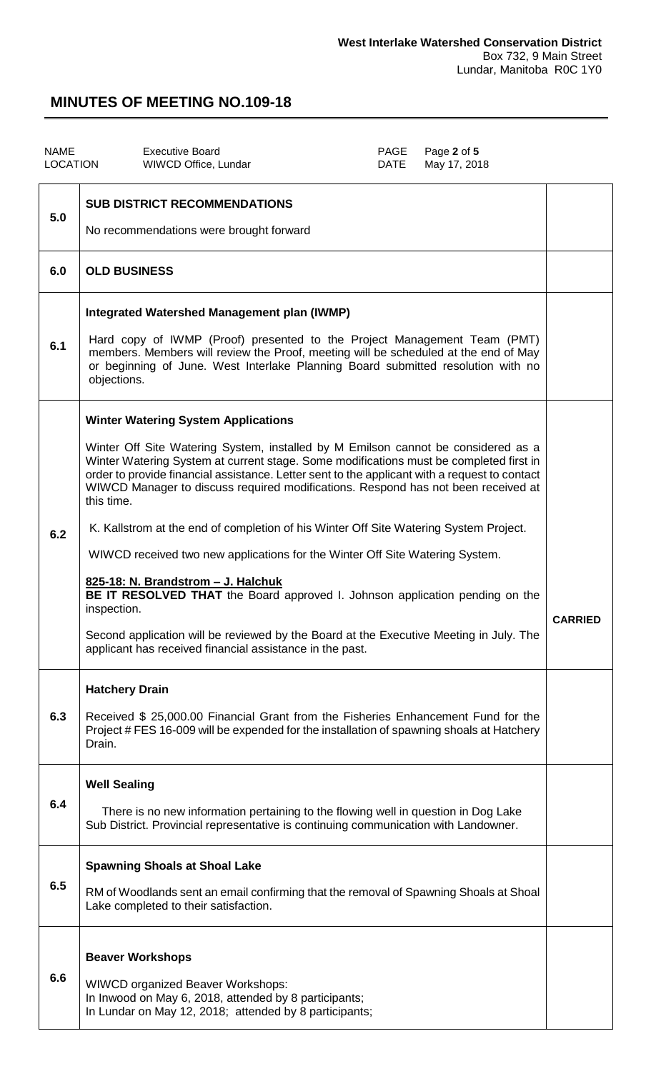| <b>NAME</b><br><b>LOCATION</b> | <b>Executive Board</b><br>PAGE<br>Page 2 of 5<br>WIWCD Office, Lundar<br>May 17, 2018<br>DATE                                                                                                                                                                                                                                                                                                                                                                                                                                                                                                                                                                                                                                                                                                                                                                                                     |                |
|--------------------------------|---------------------------------------------------------------------------------------------------------------------------------------------------------------------------------------------------------------------------------------------------------------------------------------------------------------------------------------------------------------------------------------------------------------------------------------------------------------------------------------------------------------------------------------------------------------------------------------------------------------------------------------------------------------------------------------------------------------------------------------------------------------------------------------------------------------------------------------------------------------------------------------------------|----------------|
| 5.0                            | <b>SUB DISTRICT RECOMMENDATIONS</b><br>No recommendations were brought forward                                                                                                                                                                                                                                                                                                                                                                                                                                                                                                                                                                                                                                                                                                                                                                                                                    |                |
| 6.0                            | <b>OLD BUSINESS</b>                                                                                                                                                                                                                                                                                                                                                                                                                                                                                                                                                                                                                                                                                                                                                                                                                                                                               |                |
| 6.1                            | Integrated Watershed Management plan (IWMP)<br>Hard copy of IWMP (Proof) presented to the Project Management Team (PMT)<br>members. Members will review the Proof, meeting will be scheduled at the end of May<br>or beginning of June. West Interlake Planning Board submitted resolution with no<br>objections.                                                                                                                                                                                                                                                                                                                                                                                                                                                                                                                                                                                 |                |
| 6.2                            | <b>Winter Watering System Applications</b><br>Winter Off Site Watering System, installed by M Emilson cannot be considered as a<br>Winter Watering System at current stage. Some modifications must be completed first in<br>order to provide financial assistance. Letter sent to the applicant with a request to contact<br>WIWCD Manager to discuss required modifications. Respond has not been received at<br>this time.<br>K. Kallstrom at the end of completion of his Winter Off Site Watering System Project.<br>WIWCD received two new applications for the Winter Off Site Watering System.<br>825-18: N. Brandstrom - J. Halchuk<br>BE IT RESOLVED THAT the Board approved I. Johnson application pending on the<br>inspection.<br>Second application will be reviewed by the Board at the Executive Meeting in July. The<br>applicant has received financial assistance in the past. | <b>CARRIED</b> |
| 6.3                            | <b>Hatchery Drain</b><br>Received \$ 25,000.00 Financial Grant from the Fisheries Enhancement Fund for the<br>Project # FES 16-009 will be expended for the installation of spawning shoals at Hatchery<br>Drain.                                                                                                                                                                                                                                                                                                                                                                                                                                                                                                                                                                                                                                                                                 |                |
| 6.4                            | <b>Well Sealing</b><br>There is no new information pertaining to the flowing well in question in Dog Lake<br>Sub District. Provincial representative is continuing communication with Landowner.                                                                                                                                                                                                                                                                                                                                                                                                                                                                                                                                                                                                                                                                                                  |                |
| 6.5                            | <b>Spawning Shoals at Shoal Lake</b><br>RM of Woodlands sent an email confirming that the removal of Spawning Shoals at Shoal<br>Lake completed to their satisfaction.                                                                                                                                                                                                                                                                                                                                                                                                                                                                                                                                                                                                                                                                                                                            |                |
| 6.6                            | <b>Beaver Workshops</b><br><b>WIWCD organized Beaver Workshops:</b><br>In Inwood on May 6, 2018, attended by 8 participants;<br>In Lundar on May 12, 2018; attended by 8 participants;                                                                                                                                                                                                                                                                                                                                                                                                                                                                                                                                                                                                                                                                                                            |                |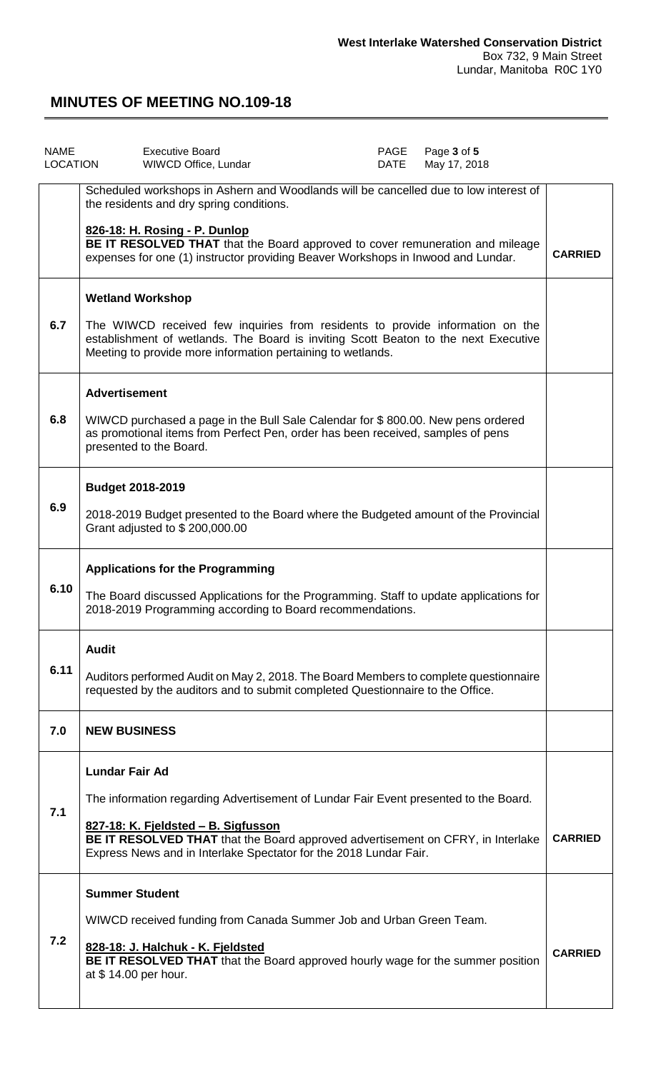| <b>NAME</b><br><b>LOCATION</b> | <b>Executive Board</b><br>WIWCD Office, Lundar                                                                                                                                                                                                                                                               | PAGE<br>DATE | Page 3 of 5<br>May 17, 2018 |                |
|--------------------------------|--------------------------------------------------------------------------------------------------------------------------------------------------------------------------------------------------------------------------------------------------------------------------------------------------------------|--------------|-----------------------------|----------------|
|                                | Scheduled workshops in Ashern and Woodlands will be cancelled due to low interest of<br>the residents and dry spring conditions.                                                                                                                                                                             |              |                             |                |
|                                | 826-18: H. Rosing - P. Dunlop<br>BE IT RESOLVED THAT that the Board approved to cover remuneration and mileage<br>expenses for one (1) instructor providing Beaver Workshops in Inwood and Lundar.                                                                                                           |              |                             | <b>CARRIED</b> |
| 6.7                            | <b>Wetland Workshop</b><br>The WIWCD received few inquiries from residents to provide information on the<br>establishment of wetlands. The Board is inviting Scott Beaton to the next Executive<br>Meeting to provide more information pertaining to wetlands.                                               |              |                             |                |
| 6.8                            | <b>Advertisement</b><br>WIWCD purchased a page in the Bull Sale Calendar for \$800.00. New pens ordered<br>as promotional items from Perfect Pen, order has been received, samples of pens<br>presented to the Board.                                                                                        |              |                             |                |
| 6.9                            | <b>Budget 2018-2019</b><br>2018-2019 Budget presented to the Board where the Budgeted amount of the Provincial<br>Grant adjusted to \$200,000.00                                                                                                                                                             |              |                             |                |
| 6.10                           | <b>Applications for the Programming</b><br>The Board discussed Applications for the Programming. Staff to update applications for<br>2018-2019 Programming according to Board recommendations.                                                                                                               |              |                             |                |
| 6.11                           | <b>Audit</b><br>Auditors performed Audit on May 2, 2018. The Board Members to complete questionnaire<br>requested by the auditors and to submit completed Questionnaire to the Office.                                                                                                                       |              |                             |                |
| 7.0                            | <b>NEW BUSINESS</b>                                                                                                                                                                                                                                                                                          |              |                             |                |
| 7.1                            | <b>Lundar Fair Ad</b><br>The information regarding Advertisement of Lundar Fair Event presented to the Board.<br>827-18: K. Fjeldsted - B. Sigfusson<br>BE IT RESOLVED THAT that the Board approved advertisement on CFRY, in Interlake<br>Express News and in Interlake Spectator for the 2018 Lundar Fair. |              |                             | <b>CARRIED</b> |
| 7.2                            | <b>Summer Student</b><br>WIWCD received funding from Canada Summer Job and Urban Green Team.<br>828-18: J. Halchuk - K. Fjeldsted<br><b>BE IT RESOLVED THAT</b> that the Board approved hourly wage for the summer position<br>at \$14.00 per hour.                                                          |              |                             | <b>CARRIED</b> |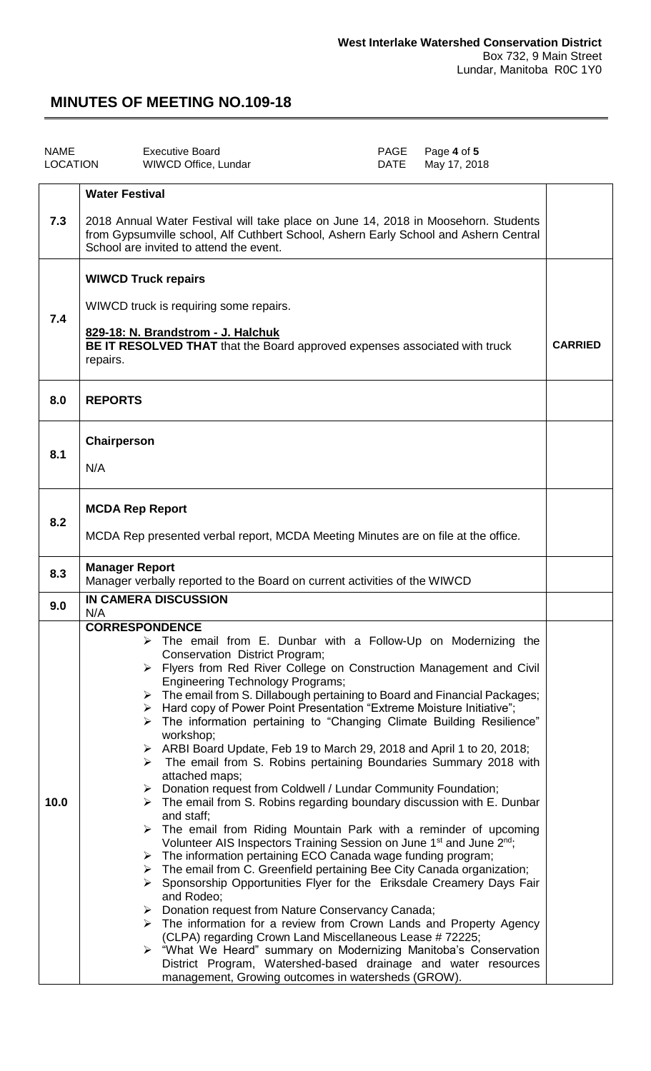| <b>NAME</b><br>LOCATION | <b>Executive Board</b><br>Page 4 of 5<br><b>PAGE</b><br>May 17, 2018<br>WIWCD Office, Lundar<br>DATE                                                                                                                                                                                                                                                                                                                                                                                                                                                                                                                                                                                                                                                                                                                                                                                                                                                                                                                                                                                                                                                                                                                                                                                                                                                                                                                                                                                                                                                                                                                                                                                                                                                        |  |  |
|-------------------------|-------------------------------------------------------------------------------------------------------------------------------------------------------------------------------------------------------------------------------------------------------------------------------------------------------------------------------------------------------------------------------------------------------------------------------------------------------------------------------------------------------------------------------------------------------------------------------------------------------------------------------------------------------------------------------------------------------------------------------------------------------------------------------------------------------------------------------------------------------------------------------------------------------------------------------------------------------------------------------------------------------------------------------------------------------------------------------------------------------------------------------------------------------------------------------------------------------------------------------------------------------------------------------------------------------------------------------------------------------------------------------------------------------------------------------------------------------------------------------------------------------------------------------------------------------------------------------------------------------------------------------------------------------------------------------------------------------------------------------------------------------------|--|--|
| 7.3                     | <b>Water Festival</b><br>2018 Annual Water Festival will take place on June 14, 2018 in Moosehorn. Students<br>from Gypsumville school, Alf Cuthbert School, Ashern Early School and Ashern Central<br>School are invited to attend the event.                                                                                                                                                                                                                                                                                                                                                                                                                                                                                                                                                                                                                                                                                                                                                                                                                                                                                                                                                                                                                                                                                                                                                                                                                                                                                                                                                                                                                                                                                                              |  |  |
| 7.4                     | <b>WIWCD Truck repairs</b><br>WIWCD truck is requiring some repairs.<br>829-18: N. Brandstrom - J. Halchuk<br>BE IT RESOLVED THAT that the Board approved expenses associated with truck<br>repairs.                                                                                                                                                                                                                                                                                                                                                                                                                                                                                                                                                                                                                                                                                                                                                                                                                                                                                                                                                                                                                                                                                                                                                                                                                                                                                                                                                                                                                                                                                                                                                        |  |  |
| 8.0                     | <b>REPORTS</b>                                                                                                                                                                                                                                                                                                                                                                                                                                                                                                                                                                                                                                                                                                                                                                                                                                                                                                                                                                                                                                                                                                                                                                                                                                                                                                                                                                                                                                                                                                                                                                                                                                                                                                                                              |  |  |
| 8.1                     | Chairperson<br>N/A                                                                                                                                                                                                                                                                                                                                                                                                                                                                                                                                                                                                                                                                                                                                                                                                                                                                                                                                                                                                                                                                                                                                                                                                                                                                                                                                                                                                                                                                                                                                                                                                                                                                                                                                          |  |  |
| 8.2                     | <b>MCDA Rep Report</b><br>MCDA Rep presented verbal report, MCDA Meeting Minutes are on file at the office.                                                                                                                                                                                                                                                                                                                                                                                                                                                                                                                                                                                                                                                                                                                                                                                                                                                                                                                                                                                                                                                                                                                                                                                                                                                                                                                                                                                                                                                                                                                                                                                                                                                 |  |  |
| 8.3                     | <b>Manager Report</b><br>Manager verbally reported to the Board on current activities of the WIWCD                                                                                                                                                                                                                                                                                                                                                                                                                                                                                                                                                                                                                                                                                                                                                                                                                                                                                                                                                                                                                                                                                                                                                                                                                                                                                                                                                                                                                                                                                                                                                                                                                                                          |  |  |
| 9.0                     | IN CAMERA DISCUSSION<br>N/A                                                                                                                                                                                                                                                                                                                                                                                                                                                                                                                                                                                                                                                                                                                                                                                                                                                                                                                                                                                                                                                                                                                                                                                                                                                                                                                                                                                                                                                                                                                                                                                                                                                                                                                                 |  |  |
| 10.0                    | <b>CORRESPONDENCE</b><br>$\triangleright$ The email from E. Dunbar with a Follow-Up on Modernizing the<br>Conservation District Program;<br>> Flyers from Red River College on Construction Management and Civil<br><b>Engineering Technology Programs;</b><br>$\triangleright$ The email from S. Dillabough pertaining to Board and Financial Packages;<br>> Hard copy of Power Point Presentation "Extreme Moisture Initiative";<br>> The information pertaining to "Changing Climate Building Resilience"<br>workshop;<br>$\triangleright$ ARBI Board Update, Feb 19 to March 29, 2018 and April 1 to 20, 2018;<br>The email from S. Robins pertaining Boundaries Summary 2018 with<br>➤<br>attached maps;<br>Donation request from Coldwell / Lundar Community Foundation;<br>➤<br>The email from S. Robins regarding boundary discussion with E. Dunbar<br>➤<br>and staff;<br>$\triangleright$ The email from Riding Mountain Park with a reminder of upcoming<br>Volunteer AIS Inspectors Training Session on June 1 <sup>st</sup> and June 2 <sup>nd</sup> ;<br>$\triangleright$ The information pertaining ECO Canada wage funding program;<br>$\triangleright$ The email from C. Greenfield pertaining Bee City Canada organization;<br>$\triangleright$ Sponsorship Opportunities Flyer for the Eriksdale Creamery Days Fair<br>and Rodeo;<br>Donation request from Nature Conservancy Canada;<br>➤<br>$\triangleright$ The information for a review from Crown Lands and Property Agency<br>(CLPA) regarding Crown Land Miscellaneous Lease # 72225;<br>> "What We Heard" summary on Modernizing Manitoba's Conservation<br>District Program, Watershed-based drainage and water resources<br>management, Growing outcomes in watersheds (GROW). |  |  |